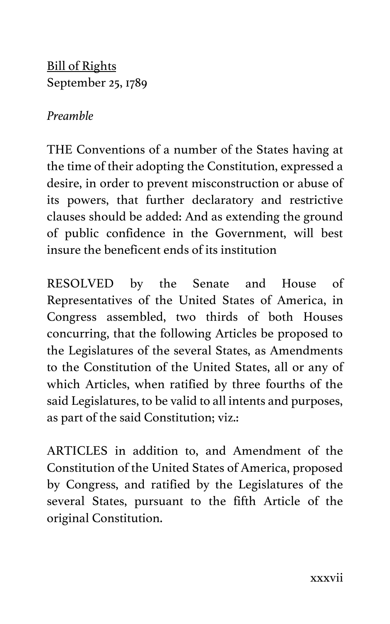Bill of Rights September 25, 1789

#### *Preamble*

THE Conventions of a number of the States having at the time of their adopting the Constitution, expressed a desire, in order to prevent misconstruction or abuse of its powers, that further declaratory and restrictive clauses should be added: And as extending the ground of public confidence in the Government, will best insure the beneficent ends of its institution

RESOLVED by the Senate and House of Representatives of the United States of America, in Congress assembled, two thirds of both Houses concurring, that the following Articles be proposed to the Legislatures of the several States, as Amendments to the Constitution of the United States, all or any of which Articles, when ratified by three fourths of the said Legislatures, to be valid to all intents and purposes, as part of the said Constitution; viz.:

ARTICLES in addition to, and Amendment of the Constitution of the United States of America, proposed by Congress, and ratified by the Legislatures of the several States, pursuant to the fifth Article of the original Constitution.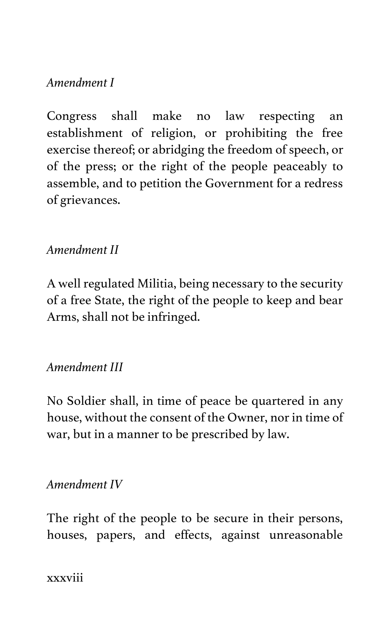## *Amendment I*

Congress shall make no law respecting an establishment of religion, or prohibiting the free exercise thereof; or abridging the freedom of speech, or of the press; or the right of the people peaceably to assemble, and to petition the Government for a redress of grievances.

## *Amendment II*

A well regulated Militia, being necessary to the security of a free State, the right of the people to keep and bear Arms, shall not be infringed.

### *Amendment III*

No Soldier shall, in time of peace be quartered in any house, without the consent of the Owner, nor in time of war, but in a manner to be prescribed by law.

#### *Amendment IV*

The right of the people to be secure in their persons, houses, papers, and effects, against unreasonable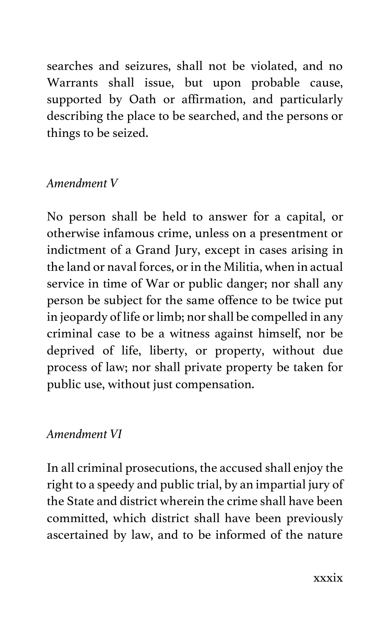searches and seizures, shall not be violated, and no Warrants shall issue, but upon probable cause, supported by Oath or affirmation, and particularly describing the place to be searched, and the persons or things to be seized.

## *Amendment V*

No person shall be held to answer for a capital, or otherwise infamous crime, unless on a presentment or indictment of a Grand Jury, except in cases arising in the land or naval forces, or in the Militia, when in actual service in time of War or public danger; nor shall any person be subject for the same offence to be twice put in jeopardy of life or limb; nor shall be compelled in any criminal case to be a witness against himself, nor be deprived of life, liberty, or property, without due process of law; nor shall private property be taken for public use, without just compensation.

### *Amendment VI*

In all criminal prosecutions, the accused shall enjoy the right to a speedy and public trial, by an impartial jury of the State and district wherein the crime shall have been committed, which district shall have been previously ascertained by law, and to be informed of the nature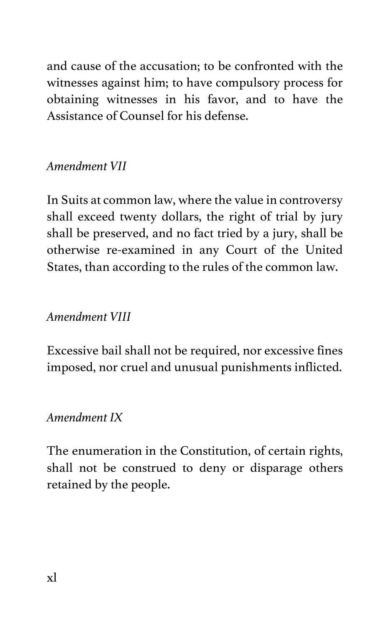and cause of the accusation; to be confronted with the witnesses against him; to have compulsory process for obtaining witnesses in his favor, and to have the Assistance of Counsel for his defense.

## *Amendment VII*

In Suits at common law, where the value in controversy shall exceed twenty dollars, the right of trial by jury shall be preserved, and no fact tried by a jury, shall be otherwise re-examined in any Court of the United States, than according to the rules of the common law.

### *Amendment VIII*

Excessive bail shall not be required, nor excessive fines imposed, nor cruel and unusual punishments inflicted.

### *Amendment IX*

The enumeration in the Constitution, of certain rights, shall not be construed to deny or disparage others retained by the people.